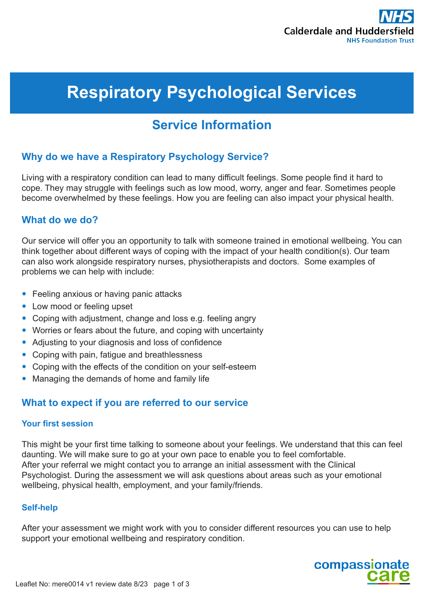

# **Respiratory Psychological Services**

# **Service Information**

# **Why do we have a Respiratory Psychology Service?**

Living with a respiratory condition can lead to many difficult feelings. Some people find it hard to cope. They may struggle with feelings such as low mood, worry, anger and fear. Sometimes people become overwhelmed by these feelings. How you are feeling can also impact your physical health.

# **What do we do?**

Our service will offer you an opportunity to talk with someone trained in emotional wellbeing. You can think together about different ways of coping with the impact of your health condition(s). Our team can also work alongside respiratory nurses, physiotherapists and doctors. Some examples of problems we can help with include:

- Feeling anxious or having panic attacks
- Low mood or feeling upset
- Coping with adjustment, change and loss e.g. feeling angry
- Worries or fears about the future, and coping with uncertainty
- Adjusting to your diagnosis and loss of confidence
- Coping with pain, fatigue and breathlessness
- Coping with the effects of the condition on your self-esteem
- Managing the demands of home and family life

## **What to expect if you are referred to our service**

#### **Your first session**

This might be your first time talking to someone about your feelings. We understand that this can feel daunting. We will make sure to go at your own pace to enable you to feel comfortable. After your referral we might contact you to arrange an initial assessment with the Clinical Psychologist. During the assessment we will ask questions about areas such as your emotional wellbeing, physical health, employment, and your family/friends.

#### **Self-help**

After your assessment we might work with you to consider different resources you can use to help support your emotional wellbeing and respiratory condition.

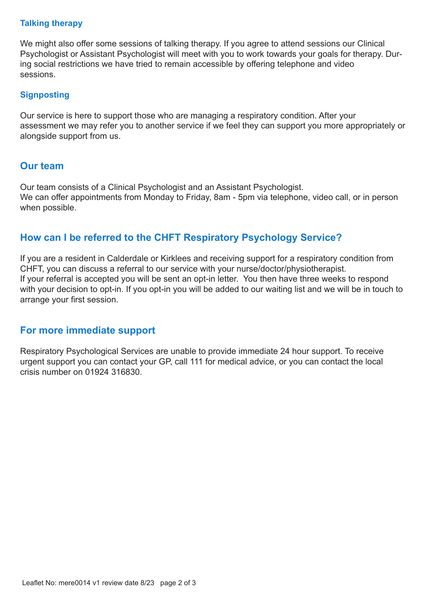#### **Talking therapy**

We might also offer some sessions of talking therapy. If you agree to attend sessions our Clinical Psychologist or Assistant Psychologist will meet with you to work towards your goals for therapy. During social restrictions we have tried to remain accessible by offering telephone and video sessions.

#### **Signposting**

Our service is here to support those who are managing a respiratory condition. After your assessment we may refer you to another service if we feel they can support you more appropriately or alongside support from us.

# **Our team**

Our team consists of a Clinical Psychologist and an Assistant Psychologist. We can offer appointments from Monday to Friday, 8am - 5pm via telephone, video call, or in person when possible.

# **How can I be referred to the CHFT Respiratory Psychology Service?**

If you are a resident in Calderdale or Kirklees and receiving support for a respiratory condition from CHFT, you can discuss a referral to our service with your nurse/doctor/physiotherapist. If your referral is accepted you will be sent an opt-in letter. You then have three weeks to respond with your decision to opt-in. If you opt-in you will be added to our waiting list and we will be in touch to arrange your first session.

## **For more immediate support**

Respiratory Psychological Services are unable to provide immediate 24 hour support. To receive urgent support you can contact your GP, call 111 for medical advice, or you can contact the local crisis number on 01924 316830.